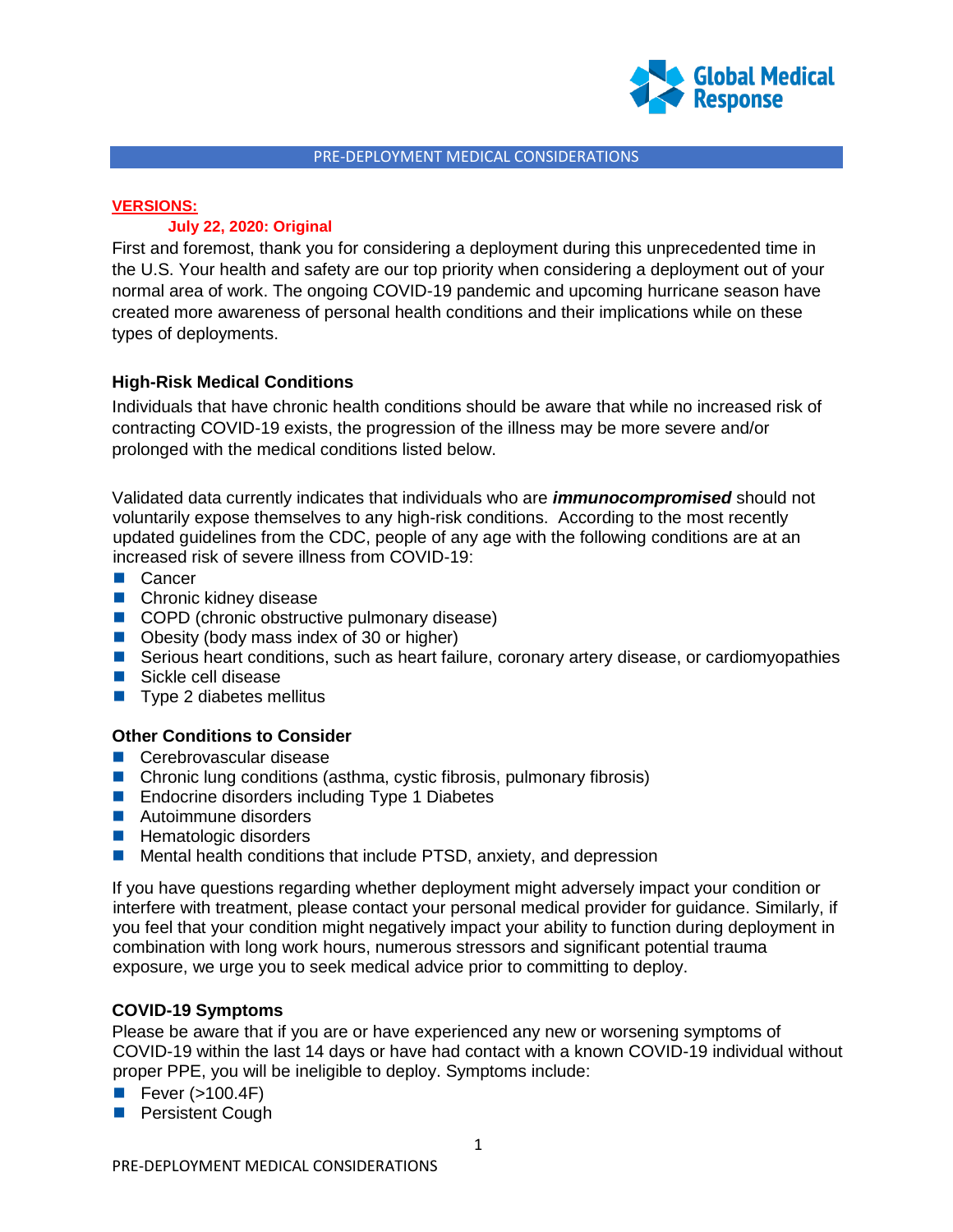

## PRE-DEPLOYMENT MEDICAL CONSIDERATIONS

# **VERSIONS:**

# **July 22, 2020: Original**

First and foremost, thank you for considering a deployment during this unprecedented time in the U.S. Your health and safety are our top priority when considering a deployment out of your normal area of work. The ongoing COVID-19 pandemic and upcoming hurricane season have created more awareness of personal health conditions and their implications while on these types of deployments.

# **High-Risk Medical Conditions**

Individuals that have chronic health conditions should be aware that while no increased risk of contracting COVID-19 exists, the progression of the illness may be more severe and/or prolonged with the medical conditions listed below.

Validated data currently indicates that individuals who are *immunocompromised* should not voluntarily expose themselves to any high-risk conditions. According to the most recently updated guidelines from the CDC, people of any age with the following conditions are at an increased risk of severe illness from COVID-19:

- **■** Cancer
- Chronic kidney disease
- COPD (chronic obstructive pulmonary disease)
- Obesity (body mass index of 30 or higher)
- Serious heart conditions, such as heart failure, coronary artery disease, or cardiomyopathies
- Sickle cell disease
- $\blacksquare$  Type 2 diabetes mellitus

# **Other Conditions to Consider**

- **Cerebrovascular disease**
- Chronic lung conditions (asthma, cystic fibrosis, pulmonary fibrosis)
- Endocrine disorders including Type 1 Diabetes
- Autoimmune disorders
- Hematologic disorders
- Mental health conditions that include PTSD, anxiety, and depression

If you have questions regarding whether deployment might adversely impact your condition or interfere with treatment, please contact your personal medical provider for guidance. Similarly, if you feel that your condition might negatively impact your ability to function during deployment in combination with long work hours, numerous stressors and significant potential trauma exposure, we urge you to seek medical advice prior to committing to deploy.

# **COVID-19 Symptoms**

Please be aware that if you are or have experienced any new or worsening symptoms of COVID-19 within the last 14 days or have had contact with a known COVID-19 individual without proper PPE, you will be ineligible to deploy. Symptoms include:

- Fever  $(>100.4F)$
- **Persistent Cough**